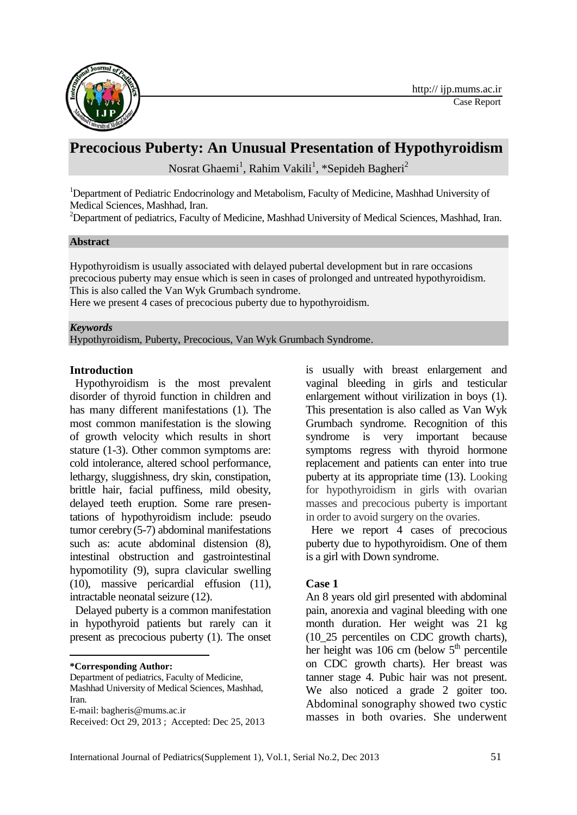

# **Precocious Puberty: An Unusual Presentation of Hypothyroidism**

Nosrat Ghaemi<sup>1</sup>, Rahim Vakili<sup>1</sup>, \*Sepideh Bagheri<sup>2</sup>

<sup>1</sup>Department of Pediatric Endocrinology and Metabolism, Faculty of Medicine, Mashhad University of Medical Sciences, Mashhad, Iran.

<sup>2</sup>Department of pediatrics, Faculty of Medicine, Mashhad University of Medical Sciences, Mashhad, Iran.

#### **Abstract**

Hypothyroidism is usually associated with delayed pubertal development but in rare occasions precocious puberty may ensue which is seen in cases of prolonged and untreated hypothyroidism. This is also called the Van Wyk Grumbach syndrome.

Here we present 4 cases of precocious puberty due to hypothyroidism.

#### *Keywords*

Hypothyroidism, Puberty, Precocious, Van Wyk Grumbach Syndrome.

#### **Introduction**

Hypothyroidism is the most prevalent disorder of thyroid function in children and has many different manifestations (1). The most common manifestation is the slowing of growth velocity which results in short stature (1-3). Other common symptoms are: cold intolerance, altered school performance, lethargy, sluggishness, dry skin, constipation, brittle hair, facial puffiness, mild obesity, delayed teeth eruption. Some rare presentations of hypothyroidism include: pseudo tumor cerebry(5-7) abdominal manifestations such as: acute abdominal distension (8), intestinal obstruction and gastrointestinal hypomotility (9), supra clavicular swelling (10), massive pericardial effusion (11), intractable neonatal seizure (12).

Delayed puberty is a common manifestation in hypothyroid patients but rarely can it present as precocious puberty (1). The onset

**\*Corresponding Author:** 

**.** 

Department of pediatrics, Faculty of Medicine,

is usually with breast enlargement and vaginal bleeding in girls and testicular enlargement without virilization in boys (1). This presentation is also called as Van Wyk Grumbach syndrome. Recognition of this syndrome is very important because symptoms regress with thyroid hormone replacement and patients can enter into true puberty at its appropriate time (13). Looking for hypothyroidism in girls with ovarian masses and precocious puberty is important in order to avoid surgery on the ovaries.

Here we report 4 cases of precocious puberty due to hypothyroidism. One of them is a girl with Down syndrome.

### **Case 1**

An 8 years old girl presented with abdominal pain, anorexia and vaginal bleeding with one month duration. Her weight was 21 kg (10\_25 percentiles on CDC growth charts), her height was 106 cm (below  $5<sup>th</sup>$  percentile on CDC growth charts). Her breast was tanner stage 4. Pubic hair was not present. We also noticed a grade 2 goiter too. Abdominal sonography showed two cystic masses in both ovaries. She underwent

Mashhad University of Medical Sciences, Mashhad, Iran.

E-mail: [bagheris@mums.ac.ir](mailto:bagheris@mums.ac.ir)

Received: Oct 29, 2013 ; Accepted: Dec 25, 2013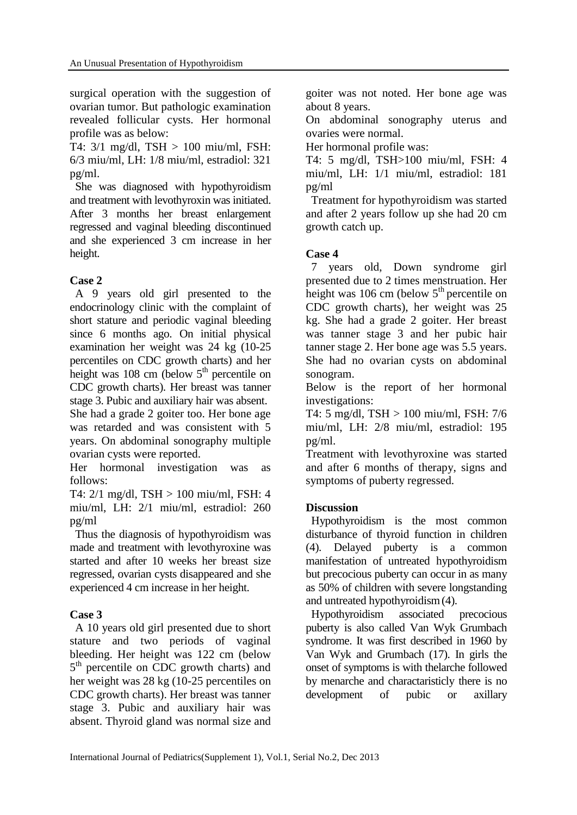surgical operation with the suggestion of ovarian tumor. But pathologic examination revealed follicular cysts. Her hormonal profile was as below:

T4: 3/1 mg/dl, TSH > 100 miu/ml, FSH: 6/3 miu/ml, LH: 1/8 miu/ml, estradiol: 321 pg/ml.

She was diagnosed with hypothyroidism and treatment with levothyroxin was initiated. After 3 months her breast enlargement regressed and vaginal bleeding discontinued and she experienced 3 cm increase in her height.

# **Case 2**

A 9 years old girl presented to the endocrinology clinic with the complaint of short stature and periodic vaginal bleeding since 6 months ago. On initial physical examination her weight was 24 kg (10-25 percentiles on CDC growth charts) and her height was 108 cm (below  $5<sup>th</sup>$  percentile on CDC growth charts). Her breast was tanner stage 3. Pubic and auxiliary hair was absent.

She had a grade 2 goiter too. Her bone age was retarded and was consistent with 5 years. On abdominal sonography multiple ovarian cysts were reported.

Her hormonal investigation was as follows:

T4: 2/1 mg/dl, TSH > 100 miu/ml, FSH: 4 miu/ml, LH: 2/1 miu/ml, estradiol: 260 pg/ml

Thus the diagnosis of hypothyroidism was made and treatment with levothyroxine was started and after 10 weeks her breast size regressed, ovarian cysts disappeared and she experienced 4 cm increase in her height.

## **Case 3**

A 10 years old girl presented due to short stature and two periods of vaginal bleeding. Her height was 122 cm (below 5<sup>th</sup> percentile on CDC growth charts) and her weight was 28 kg (10-25 percentiles on CDC growth charts). Her breast was tanner stage 3. Pubic and auxiliary hair was absent. Thyroid gland was normal size and

goiter was not noted. Her bone age was about 8 years.

On abdominal sonography uterus and ovaries were normal.

Her hormonal profile was:

T4: 5 mg/dl, TSH>100 miu/ml, FSH: 4 miu/ml, LH: 1/1 miu/ml, estradiol: 181 pg/ml

Treatment for hypothyroidism was started and after 2 years follow up she had 20 cm growth catch up.

## **Case 4**

7 years old, Down syndrome girl presented due to 2 times menstruation. Her height was 106 cm (below  $5<sup>th</sup>$  percentile on CDC growth charts), her weight was 25 kg. She had a grade 2 goiter. Her breast was tanner stage 3 and her pubic hair tanner stage 2. Her bone age was 5.5 years. She had no ovarian cysts on abdominal sonogram.

Below is the report of her hormonal investigations:

T4: 5 mg/dl, TSH > 100 miu/ml, FSH: 7/6 miu/ml, LH: 2/8 miu/ml, estradiol: 195 pg/ml.

Treatment with levothyroxine was started and after 6 months of therapy, signs and symptoms of puberty regressed.

# **Discussion**

Hypothyroidism is the most common disturbance of thyroid function in children (4). Delayed puberty is a common manifestation of untreated hypothyroidism but precocious puberty can occur in as many as 50% of children with severe longstanding and untreated hypothyroidism(4).

Hypothyroidism associated precocious puberty is also called Van Wyk Grumbach syndrome. It was first described in 1960 by Van Wyk and Grumbach (17). In girls the onset of symptoms is with thelarche followed by menarche and charactaristicly there is no development of pubic or axillary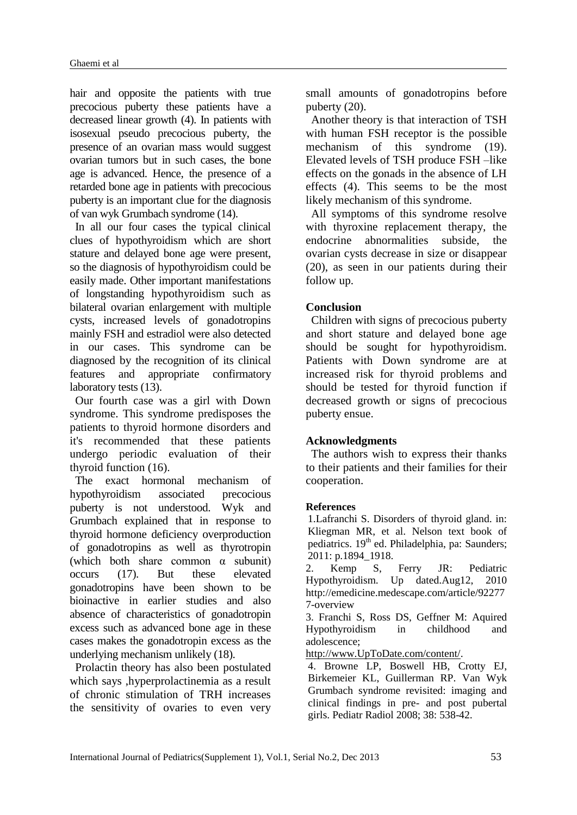hair and opposite the patients with true precocious puberty these patients have a decreased linear growth (4). In patients with isosexual pseudo precocious puberty, the presence of an ovarian mass would suggest ovarian tumors but in such cases, the bone age is advanced. Hence, the presence of a retarded bone age in patients with precocious puberty is an important clue for the diagnosis of van wyk Grumbach syndrome (14).

In all our four cases the typical clinical clues of hypothyroidism which are short stature and delayed bone age were present, so the diagnosis of hypothyroidism could be easily made. Other important manifestations of longstanding hypothyroidism such as bilateral ovarian enlargement with multiple cysts, increased levels of gonadotropins mainly FSH and estradiol were also detected in our cases. This syndrome can be diagnosed by the recognition of its clinical features and appropriate confirmatory laboratory tests (13).

Our fourth case was a girl with Down syndrome. This syndrome predisposes the patients to thyroid hormone disorders and it's recommended that these patients undergo periodic evaluation of their thyroid function (16).

The exact hormonal mechanism of hypothyroidism associated precocious puberty is not understood. Wyk and Grumbach explained that in response to thyroid hormone deficiency overproduction of gonadotropins as well as thyrotropin (which both share common  $\alpha$  subunit) occurs (17). But these elevated gonadotropins have been shown to be bioinactive in earlier studies and also absence of characteristics of gonadotropin excess such as advanced bone age in these cases makes the gonadotropin excess as the underlying mechanism unlikely (18).

Prolactin theory has also been postulated which says ,hyperprolactinemia as a result of chronic stimulation of TRH increases the sensitivity of ovaries to even very small amounts of gonadotropins before puberty (20).

Another theory is that interaction of TSH with human FSH receptor is the possible mechanism of this syndrome (19). Elevated levels of TSH produce FSH –like effects on the gonads in the absence of LH effects (4). This seems to be the most likely mechanism of this syndrome.

All symptoms of this syndrome resolve with thyroxine replacement therapy, the endocrine abnormalities subside, the ovarian cysts decrease in size or disappear (20), as seen in our patients during their follow up.

### **Conclusion**

Children with signs of precocious puberty and short stature and delayed bone age should be sought for hypothyroidism. Patients with Down syndrome are at increased risk for thyroid problems and should be tested for thyroid function if decreased growth or signs of precocious puberty ensue.

### **Acknowledgments**

The authors wish to express their thanks to their patients and their families for their cooperation.

#### **References**

1.Lafranchi S. Disorders of thyroid gland. in: Kliegman MR, et al. Nelson text book of pediatrics. 19<sup>th</sup> ed. Philadelphia, pa: Saunders; 2011: p.1894 1918.

2. Kemp S, Ferry JR: Pediatric Hypothyroidism. Up dated.Aug12, 2010 [http://emedicine.medescape.com/article/92277](http://emedicine.medescape.com/article/922777-overview) [7-overview](http://emedicine.medescape.com/article/922777-overview)

3. Franchi S, Ross DS, Geffner M: Aquired Hypothyroidism in childhood and adolescence;

[http://www.UpToDate.com/content/.](http://www.uptodate.com/content/)

4. Browne LP, Boswell HB, Crotty EJ, Birkemeier KL, Guillerman RP. Van Wyk Grumbach syndrome revisited: imaging and clinical findings in pre- and post pubertal girls. Pediatr Radiol 2008; 38: 538-42.